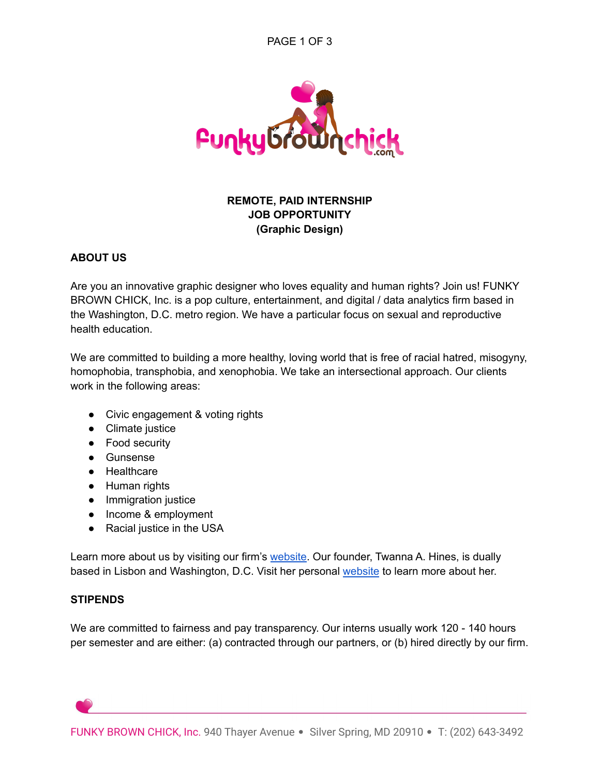

# **REMOTE, PAID INTERNSHIP JOB OPPORTUNITY (Graphic Design)**

#### **ABOUT US**

Are you an innovative graphic designer who loves equality and human rights? Join us! FUNKY BROWN CHICK, Inc. is a pop culture, entertainment, and digital / data analytics firm based in the Washington, D.C. metro region. We have a particular focus on sexual and reproductive health education.

We are committed to building a more healthy, loving world that is free of racial hatred, misogyny, homophobia, transphobia, and xenophobia. We take an intersectional approach. Our clients work in the following areas:

- Civic engagement & voting rights
- [Climate](https://app.asana.com/0/1201321091722711/1200971073149970/f) justice
- Food security
- Gunsense
- Healthcare
- Human rights
- Immigration justice
- Income & employment
- Racial justic[e](https://app.asana.com/0/1201321091722711/1200971073149970/f) in the USA

Learn more about us by visiting our firm's [website](https://funkybrownchick.com/). Our founder, Twanna A. Hines, is dually based in Lisbon and Washington, D.C. Visit her personal [website](http://twannahines.com/) to learn more about her.

#### **STIPENDS**

We are committed to fairness and pay transparency. Our interns usually work 120 - 140 hours per semester and are either: (a) contracted through our partners, or (b) hired directly by our firm.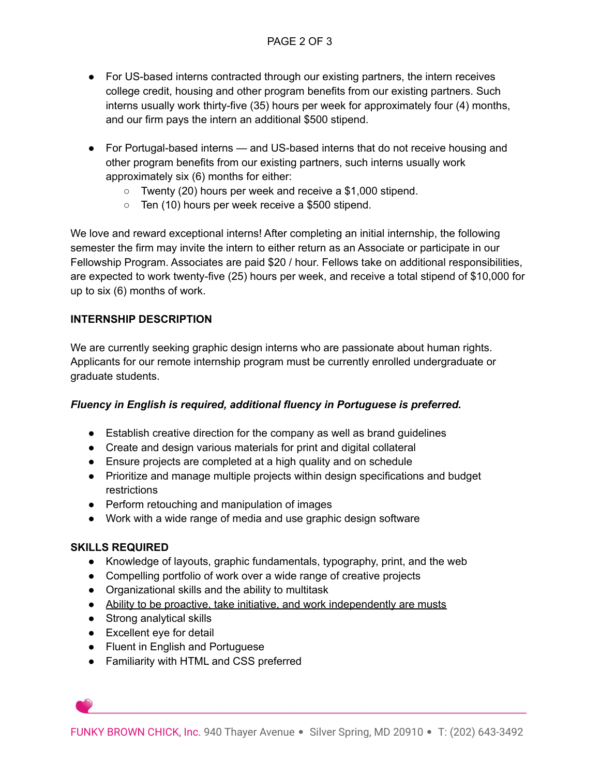- For US-based interns contracted through our existing partners, the intern receives college credit, housing and other program benefits from our existing partners. Such interns usually work thirty-five (35) hours per week for approximately four (4) months, and our firm pays the intern an additional \$500 stipend.
- For Portugal-based interns and US-based interns that do not receive housing and other program benefits from our existing partners, such interns usually work approximately six (6) months for either:
	- Twenty (20) hours per week and receive a \$1,000 stipend.
	- Ten (10) hours per week receive a \$500 stipend.

We love and reward exceptional interns! After completing an initial internship, the following semester the firm may invite the intern to either return as an Associate or participate in our Fellowship Program. Associates are paid \$20 / hour. Fellows take on additional responsibilities, are expected to work twenty-five (25) hours per week, and receive a total stipend of \$10,000 for up to six (6) months of work.

## **INTERNSHIP DESCRIPTION**

We are currently seeking graphic design interns who are passionate about human rights. Applicants for our remote internship program must be currently enrolled undergraduate or graduate students.

## *Fluency in English is required, additional fluency in Portuguese is preferred.*

- Establish creative direction for the company as well as brand guidelines
- Create and design various materials for print and digital collateral
- Ensure projects are completed at a high quality and on schedule
- Prioritize and manage multiple projects within design specifications and budget restrictions
- Perform retouching and manipulation of images
- Work with a wide range of media and use graphic design software

## **SKILLS REQUIRED**

- Knowledge of layouts, graphic fundamentals, typography, print, and the web
- Compelling portfolio of work over a wide range of creative projects
- Organizational skills and the ability to multitask
- Ability to be proactive, take initiative, and work independently are musts
- Strong analytical skills
- Excellent eye for detail
- Fluent in English and Portuguese
- Familiarity with HTML and CSS preferred